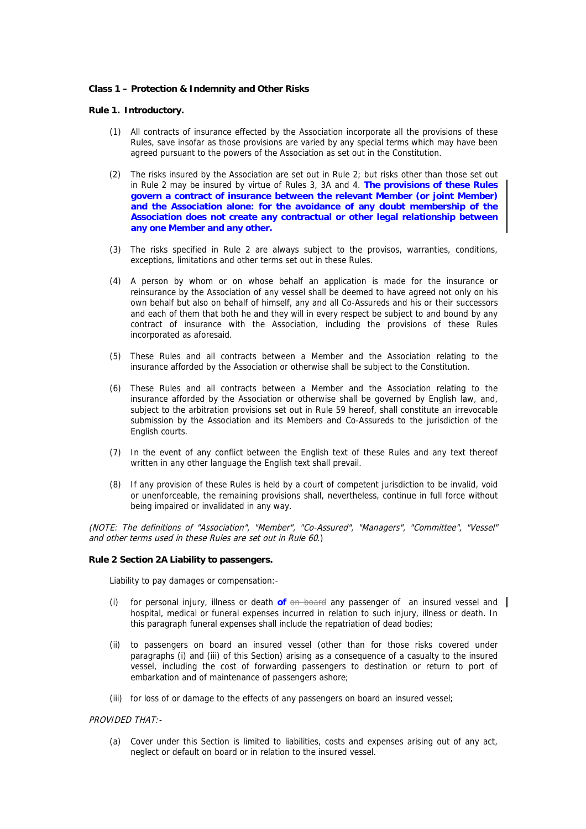# **Class 1 – Protection & Indemnity and Other Risks**

### **Rule 1. Introductory.**

- (1) All contracts of insurance effected by the Association incorporate all the provisions of these Rules, save insofar as those provisions are varied by any special terms which may have been agreed pursuant to the powers of the Association as set out in the Constitution.
- (2) The risks insured by the Association are set out in Rule 2; but risks other than those set out in Rule 2 may be insured by virtue of Rules 3, 3A and 4. **The provisions of these Rules govern a contract of insurance between the relevant Member (or joint Member) and the Association alone: for the avoidance of any doubt membership of the Association does not create any contractual or other legal relationship between any one Member and any other.**
- (3) The risks specified in Rule 2 are always subject to the provisos, warranties, conditions, exceptions, limitations and other terms set out in these Rules.
- (4) A person by whom or on whose behalf an application is made for the insurance or reinsurance by the Association of any vessel shall be deemed to have agreed not only on his own behalf but also on behalf of himself, any and all Co-Assureds and his or their successors and each of them that both he and they will in every respect be subject to and bound by any contract of insurance with the Association, including the provisions of these Rules incorporated as aforesaid.
- (5) These Rules and all contracts between a Member and the Association relating to the insurance afforded by the Association or otherwise shall be subject to the Constitution.
- (6) These Rules and all contracts between a Member and the Association relating to the insurance afforded by the Association or otherwise shall be governed by English law, and, subject to the arbitration provisions set out in Rule 59 hereof, shall constitute an irrevocable submission by the Association and its Members and Co-Assureds to the jurisdiction of the English courts.
- (7) In the event of any conflict between the English text of these Rules and any text thereof written in any other language the English text shall prevail.
- (8) If any provision of these Rules is held by a court of competent jurisdiction to be invalid, void or unenforceable, the remaining provisions shall, nevertheless, continue in full force without being impaired or invalidated in any way.

(NOTE: The definitions of "Association", "Member", "Co-Assured", "Managers", "Committee", "Vessel" and other terms used in these Rules are set out in Rule 60.)

#### **Rule 2 Section 2A Liability to passengers.**

Liability to pay damages or compensation:-

- (i) for personal injury, illness or death **of** on board any passenger of an insured vessel and hospital, medical or funeral expenses incurred in relation to such injury, illness or death. In this paragraph funeral expenses shall include the repatriation of dead bodies;
- (ii) to passengers on board an insured vessel (other than for those risks covered under paragraphs (i) and (iii) of this Section) arising as a consequence of a casualty to the insured vessel, including the cost of forwarding passengers to destination or return to port of embarkation and of maintenance of passengers ashore;
- (iii) for loss of or damage to the effects of any passengers on board an insured vessel;

# PROVIDED THAT:-

(a) Cover under this Section is limited to liabilities, costs and expenses arising out of any act, neglect or default on board or in relation to the insured vessel.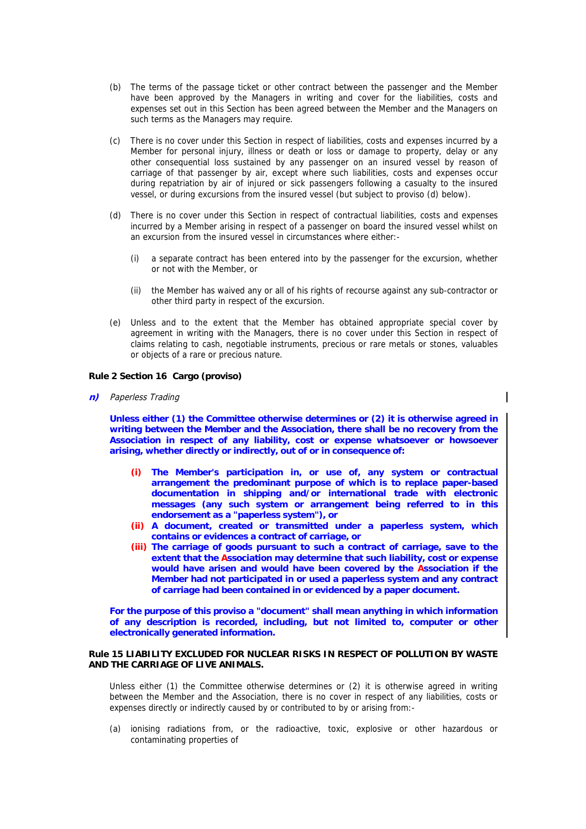- (b) The terms of the passage ticket or other contract between the passenger and the Member have been approved by the Managers in writing and cover for the liabilities, costs and expenses set out in this Section has been agreed between the Member and the Managers on such terms as the Managers may require.
- (c) There is no cover under this Section in respect of liabilities, costs and expenses incurred by a Member for personal injury, illness or death or loss or damage to property, delay or any other consequential loss sustained by any passenger on an insured vessel by reason of carriage of that passenger by air, except where such liabilities, costs and expenses occur during repatriation by air of injured or sick passengers following a casualty to the insured vessel, or during excursions from the insured vessel (but subject to proviso (d) below).
- (d) There is no cover under this Section in respect of contractual liabilities, costs and expenses incurred by a Member arising in respect of a passenger on board the insured vessel whilst on an excursion from the insured vessel in circumstances where either:-
	- (i) a separate contract has been entered into by the passenger for the excursion, whether or not with the Member, or
	- (ii) the Member has waived any or all of his rights of recourse against any sub-contractor or other third party in respect of the excursion.
- (e) Unless and to the extent that the Member has obtained appropriate special cover by agreement in writing with the Managers, there is no cover under this Section in respect of claims relating to cash, negotiable instruments, precious or rare metals or stones, valuables or objects of a rare or precious nature.

### **Rule 2 Section 16 Cargo (proviso)**

**n)** Paperless Trading

**Unless either (1) the Committee otherwise determines or (2) it is otherwise agreed in writing between the Member and the Association, there shall be no recovery from the Association in respect of any liability, cost or expense whatsoever or howsoever arising, whether directly or indirectly, out of or in consequence of:**

- **(i) The Member's participation in, or use of, any system or contractual arrangement the predominant purpose of which is to replace paper-based documentation in shipping and/or international trade with electronic messages (any such system or arrangement being referred to in this endorsement as a "paperless system"), or**
- **(ii) A document, created or transmitted under a paperless system, which contains or evidences a contract of carriage, or**
- **(iii) The carriage of goods pursuant to such a contract of carriage, save to the extent that the Association may determine that such liability, cost or expense would have arisen and would have been covered by the Association if the Member had not participated in or used a paperless system and any contract of carriage had been contained in or evidenced by a paper document.**

**For the purpose of this proviso a "document" shall mean anything in which information of any description is recorded, including, but not limited to, computer or other electronically generated information.**

# **Rule 15 LIABILITY EXCLUDED FOR NUCLEAR RISKS IN RESPECT OF POLLUTION BY WASTE AND THE CARRIAGE OF LIVE ANIMALS.**

Unless either (1) the Committee otherwise determines or (2) it is otherwise agreed in writing between the Member and the Association, there is no cover in respect of any liabilities, costs or expenses directly or indirectly caused by or contributed to by or arising from:-

(a) ionising radiations from, or the radioactive, toxic, explosive or other hazardous or contaminating properties of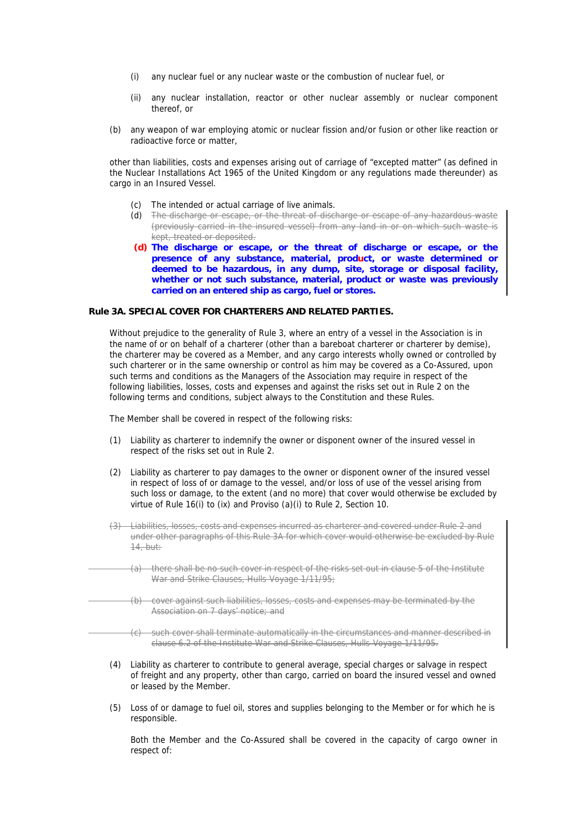- (i) any nuclear fuel or any nuclear waste or the combustion of nuclear fuel, or
- (ii) any nuclear installation, reactor or other nuclear assembly or nuclear component thereof, or
- (b) any weapon of war employing atomic or nuclear fission and/or fusion or other like reaction or radioactive force or matter,

other than liabilities, costs and expenses arising out of carriage of "excepted matter" (as defined in the Nuclear Installations Act 1965 of the United Kingdom or any regulations made thereunder) as cargo in an Insured Vessel.

- (c) The intended or actual carriage of live animals.
- (d) The discharge or escape, or the threat of discharge or escape of any hazardous waste (previously carried in the insured vessel) from any land in or on which such waste is kept, treated or deposited.
- **(d) The discharge or escape, or the threat of discharge or escape, or the presence of any substance, material, product, or waste determined or deemed to be hazardous, in any dump, site, storage or disposal facility, whether or not such substance, material, product or waste was previously carried on an entered ship as cargo, fuel or stores.**

### **Rule 3A. SPECIAL COVER FOR CHARTERERS AND RELATED PARTIES.**

Without prejudice to the generality of Rule 3, where an entry of a vessel in the Association is in the name of or on behalf of a charterer (other than a bareboat charterer or charterer by demise), the charterer may be covered as a Member, and any cargo interests wholly owned or controlled by such charterer or in the same ownership or control as him may be covered as a Co-Assured, upon such terms and conditions as the Managers of the Association may require in respect of the following liabilities, losses, costs and expenses and against the risks set out in Rule 2 on the following terms and conditions, subject always to the Constitution and these Rules.

The Member shall be covered in respect of the following risks:

- (1) Liability as charterer to indemnify the owner or disponent owner of the insured vessel in respect of the risks set out in Rule 2.
- (2) Liability as charterer to pay damages to the owner or disponent owner of the insured vessel in respect of loss of or damage to the vessel, and/or loss of use of the vessel arising from such loss or damage, to the extent (and no more) that cover would otherwise be excluded by virtue of Rule 16(i) to (ix) and Proviso (a)(i) to Rule 2, Section 10.
- (3) Liabilities, losses, costs and expenses incurred as charterer and covered under Rule 2 and under other paragraphs of this Rule 3A for which cover would otherwise be excluded by Rule 14, but:
	- (a) there shall be no such cover in respect of the risks set out in clause 5 of the Institute War and Strike Clauses, Hulls-Voyage 1/11/95;
	- (b) cover against such liabilities, losses, costs and expenses may be terminated by the Association on 7 days' notice; and
	- (c) such cover shall terminate automatically in the circumstances and manner described in clause 6.2 of the Institute War and Strike Clauses, Hulls-Voyage 1/11/95.
- (4) Liability as charterer to contribute to general average, special charges or salvage in respect of freight and any property, other than cargo, carried on board the insured vessel and owned or leased by the Member.
- (5) Loss of or damage to fuel oil, stores and supplies belonging to the Member or for which he is responsible.

Both the Member and the Co-Assured shall be covered in the capacity of cargo owner in respect of: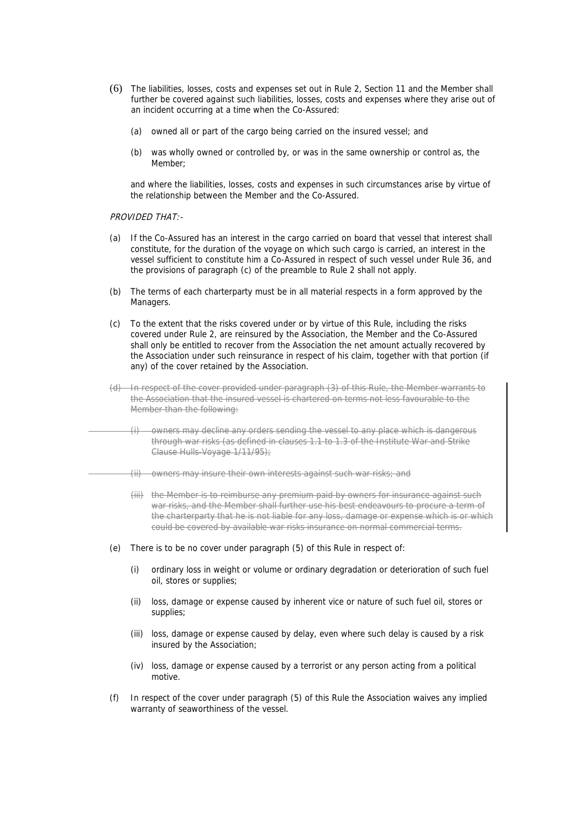- (6) The liabilities, losses, costs and expenses set out in Rule 2, Section 11 and the Member shall further be covered against such liabilities, losses, costs and expenses where they arise out of an incident occurring at a time when the Co-Assured:
	- (a) owned all or part of the cargo being carried on the insured vessel; and
	- (b) was wholly owned or controlled by, or was in the same ownership or control as, the Member;

and where the liabilities, losses, costs and expenses in such circumstances arise by virtue of the relationship between the Member and the Co-Assured.

PROVIDED THAT:-

- (a) If the Co-Assured has an interest in the cargo carried on board that vessel that interest shall constitute, for the duration of the voyage on which such cargo is carried, an interest in the vessel sufficient to constitute him a Co-Assured in respect of such vessel under Rule 36, and the provisions of paragraph (c) of the preamble to Rule 2 shall not apply.
- (b) The terms of each charterparty must be in all material respects in a form approved by the Managers.
- (c) To the extent that the risks covered under or by virtue of this Rule, including the risks covered under Rule 2, are reinsured by the Association, the Member and the Co-Assured shall only be entitled to recover from the Association the net amount actually recovered by the Association under such reinsurance in respect of his claim, together with that portion (if any) of the cover retained by the Association.
- (d) In respect of the cover provided under paragraph (3) of this Rule, the Member warrants to the Association that the insured vessel is chartered on terms not less favourable to the Member than the following:
	- (i) owners may decline any orders sending the vessel to any place which is dangerous through war risks (as defined in clauses 1.1 to 1.3 of the Institute War and Strike Clause Hulls-Voyage 1/11/95);
	- (ii) owners may insure their own interests against such war risks; and
	- (iii)the Member is to reimburse any premium paid by owners for insurance against such war risks, and the Member shall further use his best endeavours to procure a term of the charterparty that he is not liable for any loss, damage or expense which is or which could be covered by available war risks insurance on normal commercial terms.
- (e) There is to be no cover under paragraph (5) of this Rule in respect of:
	- (i) ordinary loss in weight or volume or ordinary degradation or deterioration of such fuel oil, stores or supplies;
	- (ii) loss, damage or expense caused by inherent vice or nature of such fuel oil, stores or supplies;
	- (iii) loss, damage or expense caused by delay, even where such delay is caused by a risk insured by the Association;
	- (iv) loss, damage or expense caused by a terrorist or any person acting from a political motive.
- (f) In respect of the cover under paragraph (5) of this Rule the Association waives any implied warranty of seaworthiness of the vessel.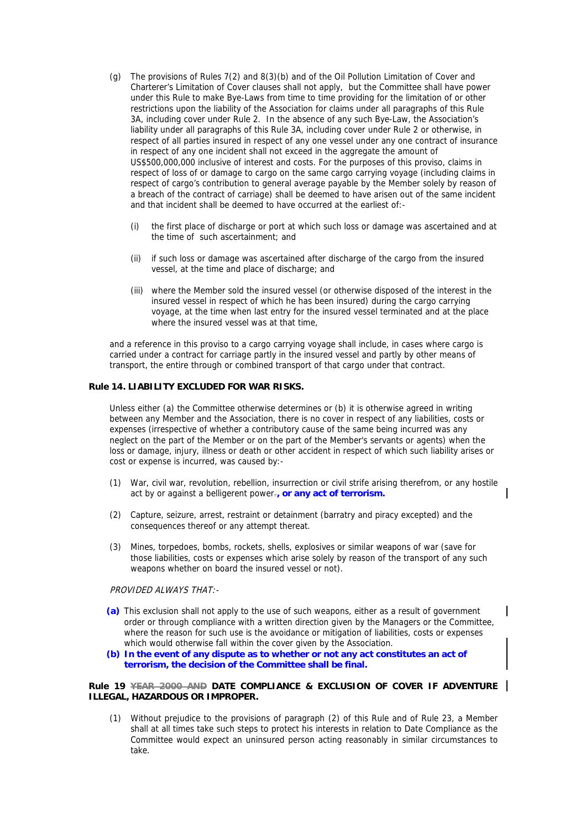- (g) The provisions of Rules 7(2) and 8(3)(b) and of the Oil Pollution Limitation of Cover and Charterer's Limitation of Cover clauses shall not apply, but the Committee shall have power under this Rule to make Bye-Laws from time to time providing for the limitation of or other restrictions upon the liability of the Association for claims under all paragraphs of this Rule 3A, including cover under Rule 2. In the absence of any such Bye-Law, the Association's liability under all paragraphs of this Rule 3A, including cover under Rule 2 or otherwise, in respect of all parties insured in respect of any one vessel under any one contract of insurance in respect of any one incident shall not exceed in the aggregate the amount of US\$500,000,000 inclusive of interest and costs. For the purposes of this proviso, claims in respect of loss of or damage to cargo on the same cargo carrying voyage (including claims in respect of cargo's contribution to general average payable by the Member solely by reason of a breach of the contract of carriage) shall be deemed to have arisen out of the same incident and that incident shall be deemed to have occurred at the earliest of:-
	- (i) the first place of discharge or port at which such loss or damage was ascertained and at the time of such ascertainment; and
	- (ii) if such loss or damage was ascertained after discharge of the cargo from the insured vessel, at the time and place of discharge; and
	- (iii) where the Member sold the insured vessel (or otherwise disposed of the interest in the insured vessel in respect of which he has been insured) during the cargo carrying voyage, at the time when last entry for the insured vessel terminated and at the place where the insured vessel was at that time,

and a reference in this proviso to a cargo carrying voyage shall include, in cases where cargo is carried under a contract for carriage partly in the insured vessel and partly by other means of transport, the entire through or combined transport of that cargo under that contract.

### **Rule 14. LIABILITY EXCLUDED FOR WAR RISKS.**

Unless either (a) the Committee otherwise determines or (b) it is otherwise agreed in writing between any Member and the Association, there is no cover in respect of any liabilities, costs or expenses (irrespective of whether a contributory cause of the same being incurred was any neglect on the part of the Member or on the part of the Member's servants or agents) when the loss or damage, injury, illness or death or other accident in respect of which such liability arises or cost or expense is incurred, was caused by:-

- (1) War, civil war, revolution, rebellion, insurrection or civil strife arising therefrom, or any hostile act by or against a belligerent power.**, or any act of terrorism.**
- (2) Capture, seizure, arrest, restraint or detainment (barratry and piracy excepted) and the consequences thereof or any attempt thereat.
- (3) Mines, torpedoes, bombs, rockets, shells, explosives or similar weapons of war (save for those liabilities, costs or expenses which arise solely by reason of the transport of any such weapons whether on board the insured vessel or not).

PROVIDED ALWAYS THAT:-

- **(a)** This exclusion shall not apply to the use of such weapons, either as a result of government order or through compliance with a written direction given by the Managers or the Committee, where the reason for such use is the avoidance or mitigation of liabilities, costs or expenses which would otherwise fall within the cover given by the Association.
- **(b) In the event of any dispute as to whether or not any act constitutes an act of terrorism, the decision of the Committee shall be final.**

# **Rule 19 YEAR 2000 AND DATE COMPLIANCE & EXCLUSION OF COVER IF ADVENTURE ILLEGAL, HAZARDOUS OR IMPROPER.**

(1) Without prejudice to the provisions of paragraph (2) of this Rule and of Rule 23, a Member shall at all times take such steps to protect his interests in relation to Date Compliance as the Committee would expect an uninsured person acting reasonably in similar circumstances to take.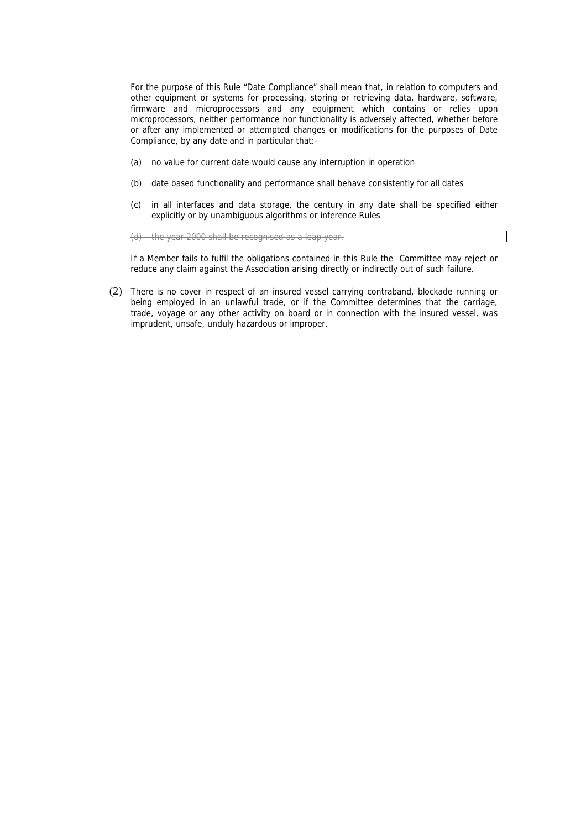For the purpose of this Rule "Date Compliance" shall mean that, in relation to computers and other equipment or systems for processing, storing or retrieving data, hardware, software, firmware and microprocessors and any equipment which contains or relies upon microprocessors, neither performance nor functionality is adversely affected, whether before or after any implemented or attempted changes or modifications for the purposes of Date Compliance, by any date and in particular that:-

- (a) no value for current date would cause any interruption in operation
- (b) date based functionality and performance shall behave consistently for all dates
- (c) in all interfaces and data storage, the century in any date shall be specified either explicitly or by unambiguous algorithms or inference Rules

 $\overline{\phantom{a}}$ 

(d) the year 2000 shall be recognised as a leap year.

If a Member fails to fulfil the obligations contained in this Rule the Committee may reject or reduce any claim against the Association arising directly or indirectly out of such failure.

(2) There is no cover in respect of an insured vessel carrying contraband, blockade running or being employed in an unlawful trade, or if the Committee determines that the carriage, trade, voyage or any other activity on board or in connection with the insured vessel, was imprudent, unsafe, unduly hazardous or improper.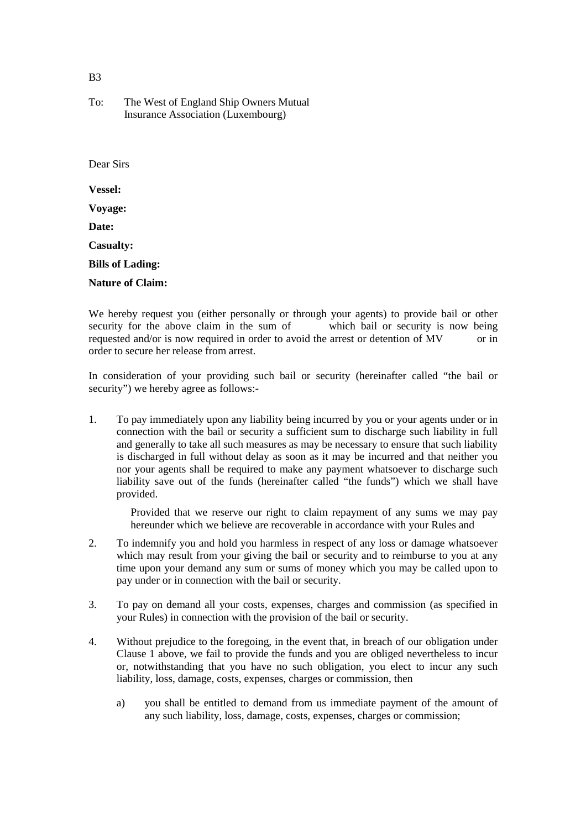$B<sub>3</sub>$ 

# To: The West of England Ship Owners Mutual Insurance Association (Luxembourg)

Dear Sirs **Vessel: Voyage: Date: Casualty: Bills of Lading: Nature of Claim:**

We hereby request you (either personally or through your agents) to provide bail or other security for the above claim in the sum of which bail or security is now being requested and/or is now required in order to avoid the arrest or detention of MV or in order to secure her release from arrest.

In consideration of your providing such bail or security (hereinafter called "the bail or security") we hereby agree as follows:-

1. To pay immediately upon any liability being incurred by you or your agents under or in connection with the bail or security a sufficient sum to discharge such liability in full and generally to take all such measures as may be necessary to ensure that such liability is discharged in full without delay as soon as it may be incurred and that neither you nor your agents shall be required to make any payment whatsoever to discharge such liability save out of the funds (hereinafter called "the funds") which we shall have provided.

Provided that we reserve our right to claim repayment of any sums we may pay hereunder which we believe are recoverable in accordance with your Rules and

- 2. To indemnify you and hold you harmless in respect of any loss or damage whatsoever which may result from your giving the bail or security and to reimburse to you at any time upon your demand any sum or sums of money which you may be called upon to pay under or in connection with the bail or security.
- 3. To pay on demand all your costs, expenses, charges and commission (as specified in your Rules) in connection with the provision of the bail or security.
- 4. Without prejudice to the foregoing, in the event that, in breach of our obligation under Clause 1 above, we fail to provide the funds and you are obliged nevertheless to incur or, notwithstanding that you have no such obligation, you elect to incur any such liability, loss, damage, costs, expenses, charges or commission, then
	- a) you shall be entitled to demand from us immediate payment of the amount of any such liability, loss, damage, costs, expenses, charges or commission;